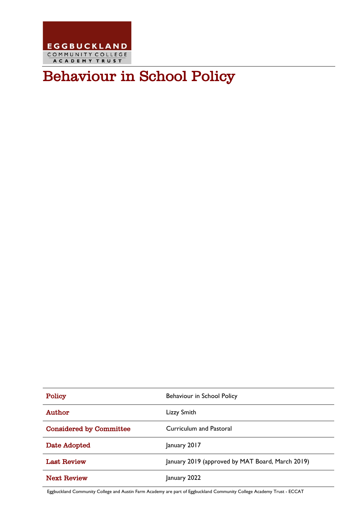

# Behaviour in School Policy

| Policy                         | Behaviour in School Policy                       |
|--------------------------------|--------------------------------------------------|
| Author                         | Lizzy Smith                                      |
| <b>Considered by Committee</b> | Curriculum and Pastoral                          |
| Date Adopted                   | January 2017                                     |
| <b>Last Review</b>             | January 2019 (approved by MAT Board, March 2019) |
| <b>Next Review</b>             | January 2022                                     |

Eggbuckland Community College and Austin Farm Academy are part of Eggbuckland Community College Academy Trust - ECCAT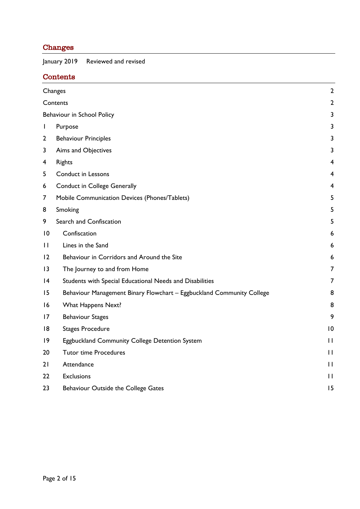## <span id="page-1-0"></span>Changes

January 2019 Reviewed and revised

## <span id="page-1-1"></span>Contents

|                 | Changes                                                               |                |
|-----------------|-----------------------------------------------------------------------|----------------|
|                 | Contents                                                              | $\mathbf{2}$   |
|                 | Behaviour in School Policy                                            |                |
| $\mathsf{I}$    | Purpose                                                               | 3              |
| $\mathbf{2}$    | <b>Behaviour Principles</b>                                           | 3              |
| 3               | Aims and Objectives                                                   | 3              |
| 4               | <b>Rights</b>                                                         | $\overline{4}$ |
| 5               | Conduct in Lessons                                                    | $\overline{4}$ |
| 6               | <b>Conduct in College Generally</b>                                   | 4              |
| 7               | Mobile Communication Devices (Phones/Tablets)                         | 5              |
| 8               | Smoking                                                               | 5              |
| 9               | Search and Confiscation                                               | 5              |
| 10              | Confiscation                                                          | 6              |
| $\mathbf{H}$    | Lines in the Sand                                                     | 6              |
| 12              | Behaviour in Corridors and Around the Site                            | 6              |
| $\overline{13}$ | The Journey to and from Home                                          | 7              |
| 4               | Students with Special Educational Needs and Disabilities              | 7              |
| 15              | Behaviour Management Binary Flowchart - Eggbuckland Community College | 8              |
| 16              | What Happens Next?                                                    | 8              |
| 17              | <b>Behaviour Stages</b>                                               | 9              |
| 18              | <b>Stages Procedure</b>                                               | 10             |
| 9               | Eggbuckland Community College Detention System                        | $\mathbf{H}$   |
| 20              | <b>Tutor time Procedures</b>                                          | $\mathbf{H}$   |
| 21              | Attendance                                                            | $\mathbf{H}$   |
| 22              | <b>Exclusions</b>                                                     | $\mathbf{H}$   |
| 23              | Behaviour Outside the College Gates                                   | 15             |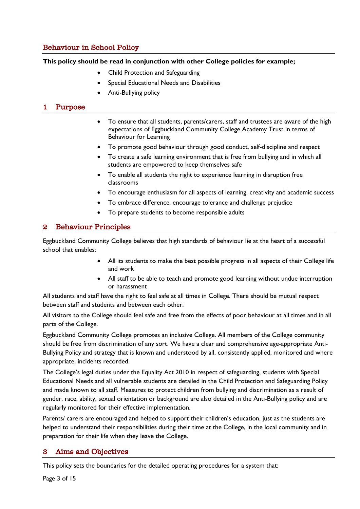## <span id="page-2-0"></span>Behaviour in School Policy

**This policy should be read in conjunction with other College policies for example;**

- Child Protection and Safeguarding
- Special Educational Needs and Disabilities
- Anti-Bullying policy

## <span id="page-2-1"></span>1 Purpose

- To ensure that all students, parents/carers, staff and trustees are aware of the high expectations of Eggbuckland Community College Academy Trust in terms of Behaviour for Learning
- To promote good behaviour through good conduct, self-discipline and respect
- To create a safe learning environment that is free from bullying and in which all students are empowered to keep themselves safe
- To enable all students the right to experience learning in disruption free classrooms
- To encourage enthusiasm for all aspects of learning, creativity and academic success
- To embrace difference, encourage tolerance and challenge prejudice
- To prepare students to become responsible adults

#### <span id="page-2-2"></span>2 Behaviour Principles

Eggbuckland Community College believes that high standards of behaviour lie at the heart of a successful school that enables:

- All its students to make the best possible progress in all aspects of their College life and work
- All staff to be able to teach and promote good learning without undue interruption or harassment

All students and staff have the right to feel safe at all times in College. There should be mutual respect between staff and students and between each other.

All visitors to the College should feel safe and free from the effects of poor behaviour at all times and in all parts of the College.

Eggbuckland Community College promotes an inclusive College. All members of the College community should be free from discrimination of any sort. We have a clear and comprehensive age-appropriate Anti-Bullying Policy and strategy that is known and understood by all, consistently applied, monitored and where appropriate, incidents recorded.

The College's legal duties under the Equality Act 2010 in respect of safeguarding, students with Special Educational Needs and all vulnerable students are detailed in the Child Protection and Safeguarding Policy and made known to all staff. Measures to protect children from bullying and discrimination as a result of gender, race, ability, sexual orientation or background are also detailed in the Anti-Bullying policy and are regularly monitored for their effective implementation.

Parents/ carers are encouraged and helped to support their children's education, just as the students are helped to understand their responsibilities during their time at the College, in the local community and in preparation for their life when they leave the College.

## <span id="page-2-3"></span>3 Aims and Objectives

This policy sets the boundaries for the detailed operating procedures for a system that: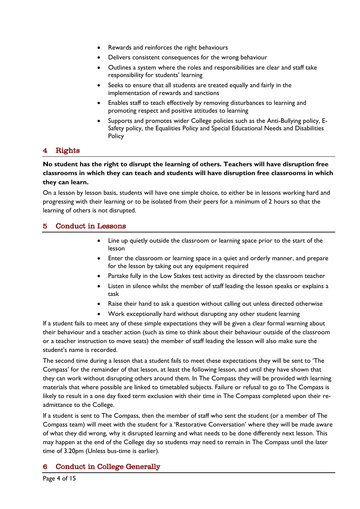- Rewards and reinforces the right behaviours
- Delivers consistent consequences for the wrong behaviour
- Outlines a system where the roles and responsibilities are clear and staff take responsibility for students' learning
- Seeks to ensure that all students are treated equally and fairly in the implementation of rewards and sanctions
- Enables staff to teach effectively by removing disturbances to learning and promoting respect and positive attitudes to learning
- Supports and promotes wider College policies such as the Anti-Bullying policy, E-Safety policy, the Equalities Policy and Special Educational Needs and Disabilities Policy

## <span id="page-3-0"></span>**Rights**

**No student has the right to disrupt the learning of others. Teachers will have disruption free classrooms in which they can teach and students will have disruption free classrooms in which they can learn.**

On a lesson by lesson basis, students will have one simple choice, to either be in lessons working hard and progressing with their learning or to be isolated from their peers for a minimum of 2 hours so that the learning of others is not disrupted.

#### <span id="page-3-1"></span>5 Conduct in Lessons

- Line up quietly outside the classroom or learning space prior to the start of the lesson
- Enter the classroom or learning space in a quiet and orderly manner, and prepare for the lesson by taking out any equipment required
- Partake fully in the Low Stakes test activity as directed by the classroom teacher
- Listen in silence whilst the member of staff leading the lesson speaks or explains a task
- Raise their hand to ask a question without calling out unless directed otherwise
- Work exceptionally hard without disrupting any other student learning

If a student fails to meet any of these simple expectations they will be given a clear formal warning about their behaviour and a teacher action (such as time to think about their behaviour outside of the classroom or a teacher instruction to move seats) the member of staff leading the lesson will also make sure the student's name is recorded.

The second time during a lesson that a student fails to meet these expectations they will be sent to 'The Compass' for the remainder of that lesson, at least the following lesson, and until they have shown that they can work without disrupting others around them. In The Compass they will be provided with learning materials that where possible are linked to timetabled subjects. Failure or refusal to go to The Compass is likely to result in a one day fixed term exclusion with their time in The Compass completed upon their readmittance to the College.

If a student is sent to The Compass, then the member of staff who sent the student (or a member of The Compass team) will meet with the student for a 'Restorative Conversation' where they will be made aware of what they did wrong, why it disrupted learning and what needs to be done differently next lesson. This may happen at the end of the College day so students may need to remain in The Compass until the later time of 3.20pm (Unless bus-time is earlier).

## <span id="page-3-2"></span>6 Conduct in College Generally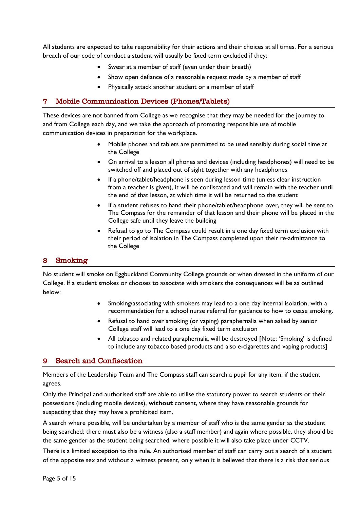All students are expected to take responsibility for their actions and their choices at all times. For a serious breach of our code of conduct a student will usually be fixed term excluded if they:

- Swear at a member of staff (even under their breath)
- Show open defiance of a reasonable request made by a member of staff
- Physically attack another student or a member of staff

## <span id="page-4-0"></span>7 Mobile Communication Devices (Phones/Tablets)

These devices are not banned from College as we recognise that they may be needed for the journey to and from College each day, and we take the approach of promoting responsible use of mobile communication devices in preparation for the workplace.

- Mobile phones and tablets are permitted to be used sensibly during social time at the College
- On arrival to a lesson all phones and devices (including headphones) will need to be switched off and placed out of sight together with any headphones
- If a phone/tablet/headphone is seen during lesson time (unless clear instruction from a teacher is given), it will be confiscated and will remain with the teacher until the end of that lesson, at which time it will be returned to the student
- If a student refuses to hand their phone/tablet/headphone over, they will be sent to The Compass for the remainder of that lesson and their phone will be placed in the College safe until they leave the building
- Refusal to go to The Compass could result in a one day fixed term exclusion with their period of isolation in The Compass completed upon their re-admittance to the College

## <span id="page-4-1"></span>8 Smoking

No student will smoke on Eggbuckland Community College grounds or when dressed in the uniform of our College. If a student smokes or chooses to associate with smokers the consequences will be as outlined below:

- Smoking/associating with smokers may lead to a one day internal isolation, with a recommendation for a school nurse referral for guidance to how to cease smoking.
- Refusal to hand over smoking (or vaping) paraphernalia when asked by senior College staff will lead to a one day fixed term exclusion
- All tobacco and related paraphernalia will be destroyed [Note: 'Smoking' is defined to include any tobacco based products and also e-cigarettes and vaping products]

## <span id="page-4-2"></span>9 Search and Confiscation

Members of the Leadership Team and The Compass staff can search a pupil for any item, if the student agrees.

Only the Principal and authorised staff are able to utilise the statutory power to search students or their possessions (including mobile devices), **without** consent, where they have reasonable grounds for suspecting that they may have a prohibited item.

A search where possible, will be undertaken by a member of staff who is the same gender as the student being searched; there must also be a witness (also a staff member) and again where possible, they should be the same gender as the student being searched, where possible it will also take place under CCTV.

There is a limited exception to this rule. An authorised member of staff can carry out a search of a student of the opposite sex and without a witness present, only when it is believed that there is a risk that serious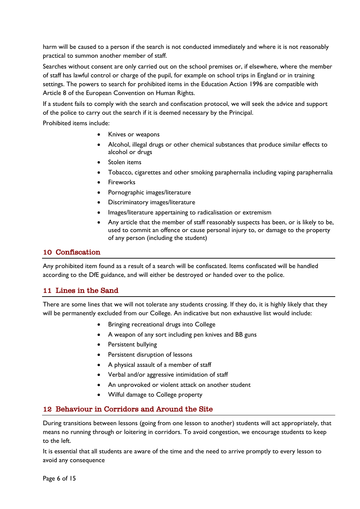harm will be caused to a person if the search is not conducted immediately and where it is not reasonably practical to summon another member of staff.

Searches without consent are only carried out on the school premises or, if elsewhere, where the member of staff has lawful control or charge of the pupil, for example on school trips in England or in training settings. The powers to search for prohibited items in the Education Action 1996 are compatible with Article 8 of the European Convention on Human Rights.

If a student fails to comply with the search and confiscation protocol, we will seek the advice and support of the police to carry out the search if it is deemed necessary by the Principal.

Prohibited items include:

- Knives or weapons
- Alcohol, illegal drugs or other chemical substances that produce similar effects to alcohol or drugs
- Stolen items
- Tobacco, cigarettes and other smoking paraphernalia including vaping paraphernalia
- **Fireworks**
- Pornographic images/literature
- Discriminatory images/literature
- Images/literature appertaining to radicalisation or extremism
- Any article that the member of staff reasonably suspects has been, or is likely to be, used to commit an offence or cause personal injury to, or damage to the property of any person (including the student)

#### <span id="page-5-0"></span>10 Confiscation

Any prohibited item found as a result of a search will be confiscated. Items confiscated will be handled according to the DfE guidance, and will either be destroyed or handed over to the police.

#### <span id="page-5-1"></span>11 Lines in the Sand

There are some lines that we will not tolerate any students crossing. If they do, it is highly likely that they will be permanently excluded from our College. An indicative but non exhaustive list would include:

- Bringing recreational drugs into College
- A weapon of any sort including pen knives and BB guns
- Persistent bullying
- Persistent disruption of lessons
- A physical assault of a member of staff
- Verbal and/or aggressive intimidation of staff
- An unprovoked or violent attack on another student
- Wilful damage to College property

## <span id="page-5-2"></span>12 Behaviour in Corridors and Around the Site

During transitions between lessons (going from one lesson to another) students will act appropriately, that means no running through or loitering in corridors. To avoid congestion, we encourage students to keep to the left.

It is essential that all students are aware of the time and the need to arrive promptly to every lesson to avoid any consequence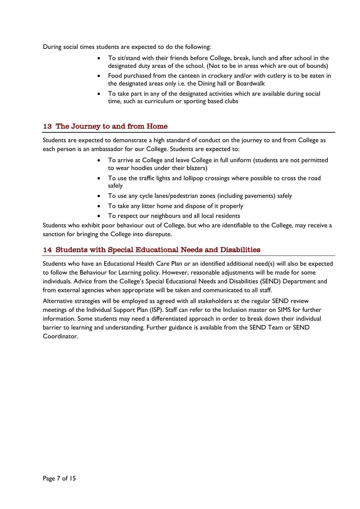During social times students are expected to do the following:

- To sit/stand with their friends before College, break, lunch and after school in the designated duty areas of the school. (Not to be in areas which are out of bounds)
- Food purchased from the canteen in crockery and/or with cutlery is to be eaten in the designated areas only i.e. the Dining hall or Boardwalk
- To take part in any of the designated activities which are available during social time, such as curriculum or sporting based clubs

### <span id="page-6-0"></span>13 The Journey to and from Home

Students are expected to demonstrate a high standard of conduct on the journey to and from College as each person is an ambassador for our College. Students are expected to:

- To arrive at College and leave College in full uniform (students are not permitted to wear hoodies under their blazers)
- To use the traffic lights and lollipop crossings where possible to cross the road safely
- To use any cycle lanes/pedestrian zones (including pavements) safely
- To take any litter home and dispose of it properly
- To respect our neighbours and all local residents

Students who exhibit poor behaviour out of College, but who are identifiable to the College, may receive a sanction for bringing the College into disrepute.

#### <span id="page-6-1"></span>14 Students with Special Educational Needs and Disabilities

Students who have an Educational Health Care Plan or an identified additional need(s) will also be expected to follow the Behaviour for Learning policy. However, reasonable adjustments will be made for some individuals. Advice from the College's Special Educational Needs and Disabilities (SEND) Department and from external agencies when appropriate will be taken and communicated to all staff.

Alternative strategies will be employed as agreed with all stakeholders at the regular SEND review meetings of the Individual Support Plan (ISP). Staff can refer to the Inclusion master on SIMS for further information. Some students may need a differentiated approach in order to break down their individual barrier to learning and understanding. Further guidance is available from the SEND Team or SEND Coordinator.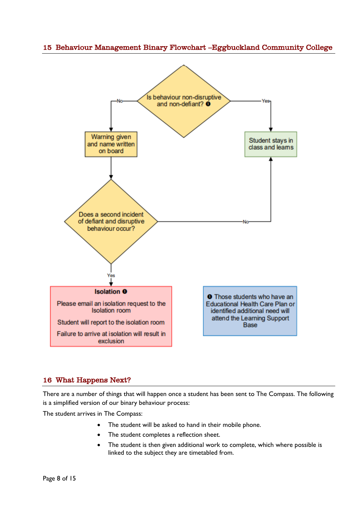## <span id="page-7-0"></span>15 Behaviour Management Binary Flowchart –Eggbuckland Community College



#### <span id="page-7-1"></span>16 What Happens Next?

There are a number of things that will happen once a student has been sent to The Compass. The following is a simplified version of our binary behaviour process:

The student arrives in The Compass:

- The student will be asked to hand in their mobile phone.
- The student completes a reflection sheet.
- The student is then given additional work to complete, which where possible is linked to the subject they are timetabled from.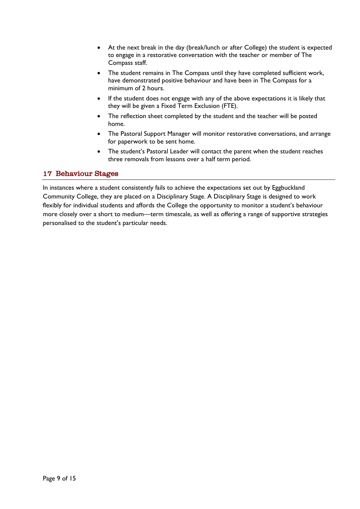- At the next break in the day (break/lunch or after College) the student is expected to engage in a restorative conversation with the teacher or member of The Compass staff.
- The student remains in The Compass until they have completed sufficient work, have demonstrated positive behaviour and have been in The Compass for a minimum of 2 hours.
- If the student does not engage with any of the above expectations it is likely that they will be given a Fixed Term Exclusion (FTE).
- The reflection sheet completed by the student and the teacher will be posted home.
- The Pastoral Support Manager will monitor restorative conversations, and arrange for paperwork to be sent home.
- The student's Pastoral Leader will contact the parent when the student reaches three removals from lessons over a half term period.

## <span id="page-8-0"></span>17 Behaviour Stages

In instances where a student consistently fails to achieve the expectations set out by Eggbuckland Community College, they are placed on a Disciplinary Stage. A Disciplinary Stage is designed to work flexibly for individual students and affords the College the opportunity to monitor a student's behaviour more closely over a short to medium—term timescale, as well as offering a range of supportive strategies personalised to the student's particular needs.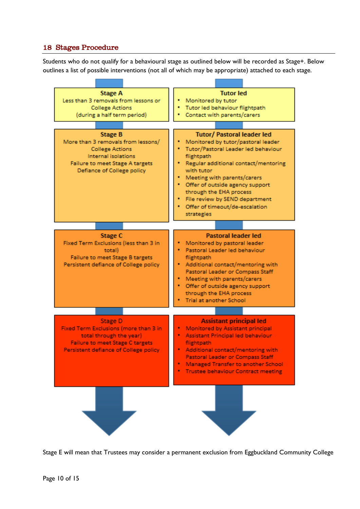## <span id="page-9-0"></span>18 Stages Procedure

Students who do not qualify for a behavioural stage as outlined below will be recorded as Stage+. Below outlines a list of possible interventions (not all of which may be appropriate) attached to each stage.



Stage E will mean that Trustees may consider a permanent exclusion from Eggbuckland Community College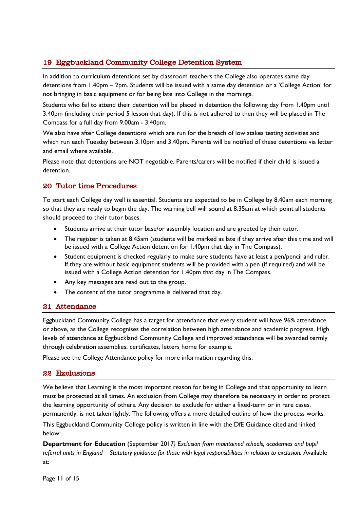## <span id="page-10-0"></span>19 Eggbuckland Community College Detention System

In addition to curriculum detentions set by classroom teachers the College also operates same day detentions from 1.40pm – 2pm. Students will be issued with a same day detention or a 'College Action' for not bringing in basic equipment or for being late into College in the mornings.

Students who fail to attend their detention will be placed in detention the following day from 1.40pm until 3.40pm (including their period 5 lesson that day). If this is not adhered to then they will be placed in The Compass for a full day from 9.00am - 3.40pm.

We also have after College detentions which are run for the breach of low stakes testing activities and which run each Tuesday between 3.10pm and 3.40pm. Parents will be notified of these detentions via letter and email where available.

Please note that detentions are NOT negotiable. Parents/carers will be notified if their child is issued a detention.

## <span id="page-10-1"></span>20 Tutor time Procedures

To start each College day well is essential. Students are expected to be in College by 8.40am each morning so that they are ready to begin the day. The warning bell will sound at 8.35am at which point all students should proceed to their tutor bases.

- Students arrive at their tutor base/or assembly location and are greeted by their tutor.
- The register is taken at 8.45am (students will be marked as late if they arrive after this time and will be issued with a College Action detention for 1.40pm that day in The Compass).
- Student equipment is checked regularly to make sure students have at least a pen/pencil and ruler. If they are without basic equipment students will be provided with a pen (if required) and will be issued with a College Action detention for 1.40pm that day in The Compass.
- Any key messages are read out to the group.
- The content of the tutor programme is delivered that day.

#### <span id="page-10-2"></span>21 Attendance

Eggbuckland Community College has a target for attendance that every student will have 96% attendance or above, as the College recognises the correlation between high attendance and academic progress. High levels of attendance at Eggbuckland Community College and improved attendance will be awarded termly through celebration assemblies, certificates, letters home for example.

Please see the College Attendance policy for more information regarding this.

#### <span id="page-10-3"></span>22 Exclusions

We believe that Learning is the most important reason for being in College and that opportunity to learn must be protected at all times. An exclusion from College may therefore be necessary in order to protect the learning opportunity of others. Any decision to exclude for either a fixed-term or in rare cases, permanently, is not taken lightly. The following offers a more detailed outline of how the process works: This Eggbuckland Community College policy is written in line with the DfE Guidance cited and linked below:

**Department for Education** (September 2017*) Exclusion from maintained schools, academies and pupil referral units in England – Statutory guidance for those with legal responsibilities in relation to exclusion.* Available at: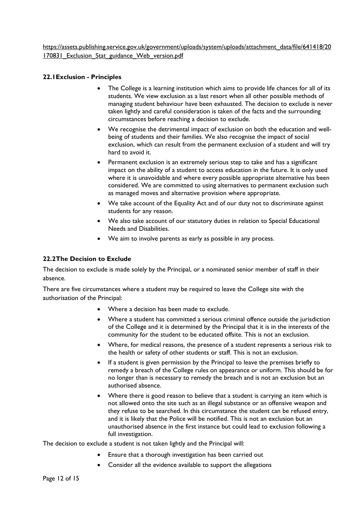https://assets.publishing.service.gov.uk/government/uploads/system/uploads/attachment\_data/file/641418/20 170831\_Exclusion\_Stat\_guidance\_Web\_version.pdf

#### **22.1Exclusion - Principles**

- The College is a learning institution which aims to provide life chances for all of its students. We view exclusion as a last resort when all other possible methods of managing student behaviour have been exhausted. The decision to exclude is never taken lightly and careful consideration is taken of the facts and the surrounding circumstances before reaching a decision to exclude.
- We recognise the detrimental impact of exclusion on both the education and wellbeing of students and their families. We also recognise the impact of social exclusion, which can result from the permanent exclusion of a student and will try hard to avoid it.
- Permanent exclusion is an extremely serious step to take and has a significant impact on the ability of a student to access education in the future. It is only used where it is unavoidable and where every possible appropriate alternative has been considered. We are committed to using alternatives to permanent exclusion such as managed moves and alternative provision where appropriate.
- We take account of the Equality Act and of our duty not to discriminate against students for any reason.
- We also take account of our statutory duties in relation to Special Educational Needs and Disabilities.
- We aim to involve parents as early as possible in any process.

#### **22.2The Decision to Exclude**

The decision to exclude is made solely by the Principal, or a nominated senior member of staff in their absence.

There are five circumstances where a student may be required to leave the College site with the authorisation of the Principal:

- Where a decision has been made to exclude.
- Where a student has committed a serious criminal offence outside the jurisdiction of the College and it is determined by the Principal that it is in the interests of the community for the student to be educated offsite. This is not an exclusion.
- Where, for medical reasons, the presence of a student represents a serious risk to the health or safety of other students or staff. This is not an exclusion.
- If a student is given permission by the Principal to leave the premises briefly to remedy a breach of the College rules on appearance or uniform. This should be for no longer than is necessary to remedy the breach and is not an exclusion but an authorised absence.
- Where there is good reason to believe that a student is carrying an item which is not allowed onto the site such as an illegal substance or an offensive weapon and they refuse to be searched. In this circumstance the student can be refused entry, and it is likely that the Police will be notified. This is not an exclusion but an unauthorised absence in the first instance but could lead to exclusion following a full investigation.

The decision to exclude a student is not taken lightly and the Principal will:

- Ensure that a thorough investigation has been carried out
- Consider all the evidence available to support the allegations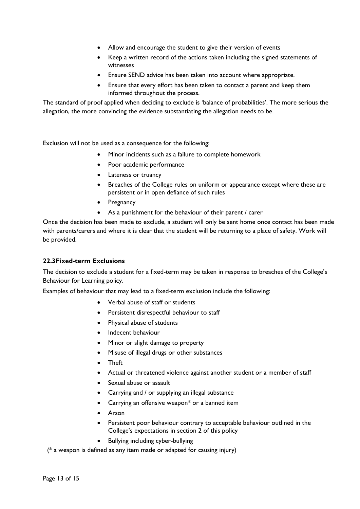- Allow and encourage the student to give their version of events
- Keep a written record of the actions taken including the signed statements of witnesses
- Ensure SEND advice has been taken into account where appropriate.
- Ensure that every effort has been taken to contact a parent and keep them informed throughout the process.

The standard of proof applied when deciding to exclude is 'balance of probabilities'. The more serious the allegation, the more convincing the evidence substantiating the allegation needs to be.

Exclusion will not be used as a consequence for the following:

- Minor incidents such as a failure to complete homework
- Poor academic performance
- Lateness or truancy
- Breaches of the College rules on uniform or appearance except where these are persistent or in open defiance of such rules
- **Pregnancy**
- As a punishment for the behaviour of their parent / carer

Once the decision has been made to exclude, a student will only be sent home once contact has been made with parents/carers and where it is clear that the student will be returning to a place of safety. Work will be provided.

#### **22.3Fixed-term Exclusions**

The decision to exclude a student for a fixed-term may be taken in response to breaches of the College's Behaviour for Learning policy.

Examples of behaviour that may lead to a fixed-term exclusion include the following:

- Verbal abuse of staff or students
- Persistent disrespectful behaviour to staff
- Physical abuse of students
- Indecent behaviour
- Minor or slight damage to property
- Misuse of illegal drugs or other substances
- Theft
- Actual or threatened violence against another student or a member of staff
- Sexual abuse or assault
- Carrying and / or supplying an illegal substance
- Carrying an offensive weapon\* or a banned item
- Arson
- Persistent poor behaviour contrary to acceptable behaviour outlined in the College's expectations in section 2 of this policy
- Bullying including cyber-bullying

(\* a weapon is defined as any item made or adapted for causing injury)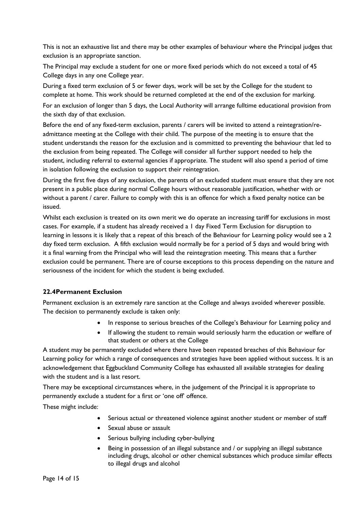This is not an exhaustive list and there may be other examples of behaviour where the Principal judges that exclusion is an appropriate sanction.

The Principal may exclude a student for one or more fixed periods which do not exceed a total of 45 College days in any one College year.

During a fixed term exclusion of 5 or fewer days, work will be set by the College for the student to complete at home. This work should be returned completed at the end of the exclusion for marking.

For an exclusion of longer than 5 days, the Local Authority will arrange fulltime educational provision from the sixth day of that exclusion.

Before the end of any fixed-term exclusion, parents / carers will be invited to attend a reintegration/readmittance meeting at the College with their child. The purpose of the meeting is to ensure that the student understands the reason for the exclusion and is committed to preventing the behaviour that led to the exclusion from being repeated. The College will consider all further support needed to help the student, including referral to external agencies if appropriate. The student will also spend a period of time in isolation following the exclusion to support their reintegration.

During the first five days of any exclusion, the parents of an excluded student must ensure that they are not present in a public place during normal College hours without reasonable justification, whether with or without a parent / carer. Failure to comply with this is an offence for which a fixed penalty notice can be issued.

Whilst each exclusion is treated on its own merit we do operate an increasing tariff for exclusions in most cases. For example, if a student has already received a 1 day Fixed Term Exclusion for disruption to learning in lessons it is likely that a repeat of this breach of the Behaviour for Learning policy would see a 2 day fixed term exclusion. A fifth exclusion would normally be for a period of 5 days and would bring with it a final warning from the Principal who will lead the reintegration meeting. This means that a further exclusion could be permanent. There are of course exceptions to this process depending on the nature and seriousness of the incident for which the student is being excluded.

#### **22.4Permanent Exclusion**

Permanent exclusion is an extremely rare sanction at the College and always avoided wherever possible. The decision to permanently exclude is taken only:

- In response to serious breaches of the College's Behaviour for Learning policy and
- If allowing the student to remain would seriously harm the education or welfare of that student or others at the College

A student may be permanently excluded where there have been repeated breaches of this Behaviour for Learning policy for which a range of consequences and strategies have been applied without success. It is an acknowledgement that Eggbuckland Community College has exhausted all available strategies for dealing with the student and is a last resort.

There may be exceptional circumstances where, in the judgement of the Principal it is appropriate to permanently exclude a student for a first or 'one off' offence.

These might include:

- Serious actual or threatened violence against another student or member of staff
- Sexual abuse or assault
- Serious bullying including cyber-bullying
- Being in possession of an illegal substance and / or supplying an illegal substance including drugs, alcohol or other chemical substances which produce similar effects to illegal drugs and alcohol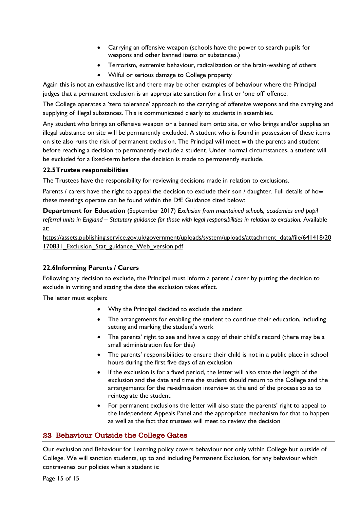- Carrying an offensive weapon (schools have the power to search pupils for weapons and other banned items or substances.)
- Terrorism, extremist behaviour, radicalization or the brain-washing of others
- Wilful or serious damage to College property

Again this is not an exhaustive list and there may be other examples of behaviour where the Principal judges that a permanent exclusion is an appropriate sanction for a first or 'one off' offence.

The College operates a 'zero tolerance' approach to the carrying of offensive weapons and the carrying and supplying of illegal substances. This is communicated clearly to students in assemblies.

Any student who brings an offensive weapon or a banned item onto site, or who brings and/or supplies an illegal substance on site will be permanently excluded. A student who is found in possession of these items on site also runs the risk of permanent exclusion. The Principal will meet with the parents and student before reaching a decision to permanently exclude a student. Under normal circumstances, a student will be excluded for a fixed-term before the decision is made to permanently exclude.

#### **22.5Trustee responsibilities**

The Trustees have the responsibility for reviewing decisions made in relation to exclusions.

Parents / carers have the right to appeal the decision to exclude their son / daughter. Full details of how these meetings operate can be found within the DfE Guidance cited below:

**Department for Education** (September 2017) *Exclusion from maintained schools, academies and pupil referral units in England – Statutory guidance for those with legal responsibilities in relation to exclusion.* Available at:

https://assets.publishing.service.gov.uk/government/uploads/system/uploads/attachment\_data/file/641418/20 170831 Exclusion Stat guidance Web version.pdf

## **22.6Informing Parents / Carers**

Following any decision to exclude, the Principal must inform a parent / carer by putting the decision to exclude in writing and stating the date the exclusion takes effect.

The letter must explain:

- Why the Principal decided to exclude the student
- The arrangements for enabling the student to continue their education, including setting and marking the student's work
- The parents' right to see and have a copy of their child's record (there may be a small administration fee for this)
- The parents' responsibilities to ensure their child is not in a public place in school hours during the first five days of an exclusion
- If the exclusion is for a fixed period, the letter will also state the length of the exclusion and the date and time the student should return to the College and the arrangements for the re-admission interview at the end of the process so as to reintegrate the student
- For permanent exclusions the letter will also state the parents' right to appeal to the Independent Appeals Panel and the appropriate mechanism for that to happen as well as the fact that trustees will meet to review the decision

## <span id="page-14-0"></span>23 Behaviour Outside the College Gates

Our exclusion and Behaviour for Learning policy covers behaviour not only within College but outside of College. We will sanction students, up to and including Permanent Exclusion, for any behaviour which contravenes our policies when a student is: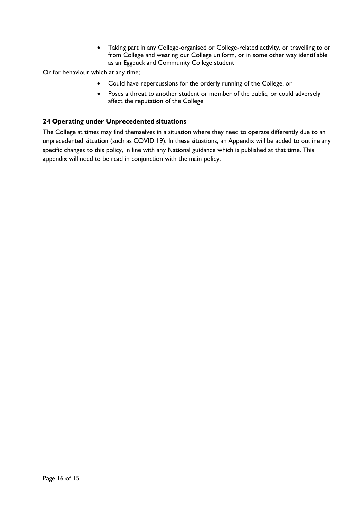• Taking part in any College-organised or College-related activity, or travelling to or from College and wearing our College uniform, or in some other way identifiable as an Eggbuckland Community College student

Or for behaviour which at any time;

- Could have repercussions for the orderly running of the College, or
- Poses a threat to another student or member of the public, or could adversely affect the reputation of the College

#### **24 Operating under Unprecedented situations**

The College at times may find themselves in a situation where they need to operate differently due to an unprecedented situation (such as COVID 19). In these situations, an Appendix will be added to outline any specific changes to this policy, in line with any National guidance which is published at that time. This appendix will need to be read in conjunction with the main policy.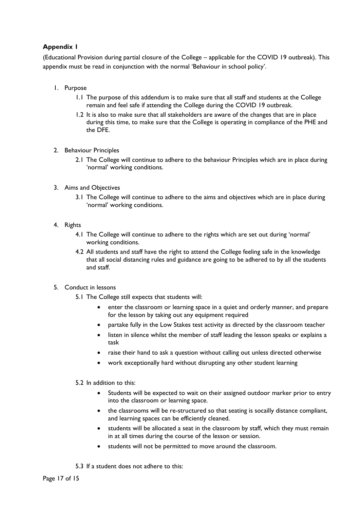## **Appendix 1**

(Educational Provision during partial closure of the College – applicable for the COVID 19 outbreak). This appendix must be read in conjunction with the normal 'Behaviour in school policy'.

- 1. Purpose
	- 1.1 The purpose of this addendum is to make sure that all staff and students at the College remain and feel safe if attending the College during the COVID 19 outbreak.
	- 1.2 It is also to make sure that all stakeholders are aware of the changes that are in place during this time, to make sure that the College is operating in compliance of the PHE and the DFE.
- 2. Behaviour Principles
	- 2.1 The College will continue to adhere to the behaviour Principles which are in place during 'normal' working conditions.
- 3. Aims and Objectives
	- 3.1 The College will continue to adhere to the aims and objectives which are in place during 'normal' working conditions.
- 4. Rights
	- 4.1 The College will continue to adhere to the rights which are set out during 'normal' working conditions.
	- 4.2 All students and staff have the right to attend the College feeling safe in the knowledge that all social distancing rules and guidance are going to be adhered to by all the students and staff.
- 5. Conduct in lessons
	- 5.1 The College still expects that students will:
		- enter the classroom or learning space in a quiet and orderly manner, and prepare for the lesson by taking out any equipment required
		- partake fully in the Low Stakes test activity as directed by the classroom teacher
		- listen in silence whilst the member of staff leading the lesson speaks or explains a task
		- raise their hand to ask a question without calling out unless directed otherwise
		- work exceptionally hard without disrupting any other student learning
	- 5.2 In addition to this:
		- Students will be expected to wait on their assigned outdoor marker prior to entry into the classroom or learning space.
		- the classrooms will be re-structured so that seating is socailly distance compliant, and learning spaces can be efficiently cleaned.
		- students will be allocated a seat in the classroom by staff, which they must remain in at all times during the course of the lesson or session.
		- students will not be permitted to move around the classroom.
	- 5.3 If a student does not adhere to this: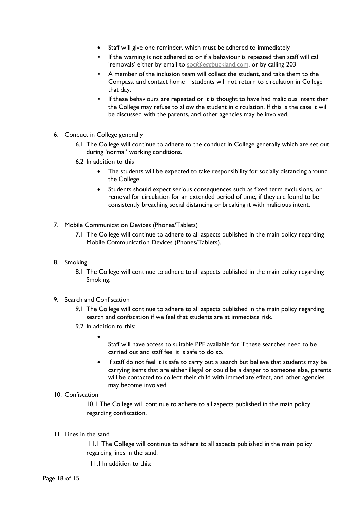- Staff will give one reminder, which must be adhered to immediately
- If the warning is not adhered to or if a behaviour is repeated then staff will call 'removals' either by email to [soc@eggbuckland.com,](mailto:soc@eggbuckland.com) or by calling 203
- A member of the inclusion team will collect the student, and take them to the Compass, and contact home – students will not return to circulation in College that day.
- **If these behaviours are repeated or it is thought to have had malicious intent then** the College may refuse to allow the student in circulation. If this is the case it will be discussed with the parents, and other agencies may be involved.
- 6. Conduct in College generally
	- 6.1 The College will continue to adhere to the conduct in College generally which are set out during 'normal' working conditions.
	- 6.2 In addition to this
		- The students will be expected to take responsibility for socially distancing around the College.
		- Students should expect serious consequences such as fixed term exclusions, or removal for circulation for an extended period of time, if they are found to be consistently breaching social distancing or breaking it with malicious intent.
- 7. Mobile Communication Devices (Phones/Tablets)
	- 7.1 The College will continue to adhere to all aspects published in the main policy regarding Mobile Communication Devices (Phones/Tablets).
- 8. Smoking
	- 8.1 The College will continue to adhere to all aspects published in the main policy regarding Smoking.
- 9. Search and Confiscation
	- 9.1 The College will continue to adhere to all aspects published in the main policy regarding search and confiscation if we feel that students are at immediate risk.
	- 9.2 In addition to this:
		- •
- Staff will have access to suitable PPE available for if these searches need to be carried out and staff feel it is safe to do so.
- If staff do not feel it is safe to carry out a search but believe that students may be carrying items that are either illegal or could be a danger to someone else, parents will be contacted to collect their child with immediate effect, and other agencies may become involved.

#### 10. Confiscation

10.1 The College will continue to adhere to all aspects published in the main policy regarding confiscation.

11. Lines in the sand

11.1 The College will continue to adhere to all aspects published in the main policy regarding lines in the sand.

11.1In addition to this: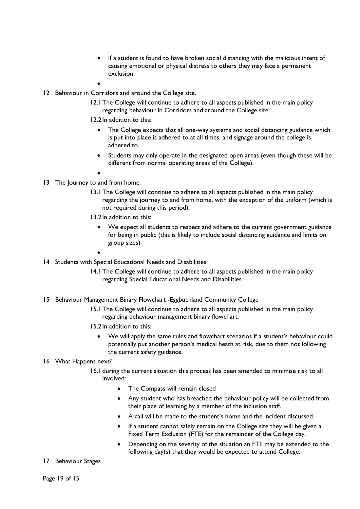- If a student is found to have broken social distancing with the malicious intent of causing emotional or physical distress to others they may face a permanent exclusion.
- •
- 12 Behaviour in Corridors and around the College site.
	- 12.1The College will continue to adhere to all aspects published in the main policy regarding behaviour in Corridors and around the College site.
	- 12.2In addition to this:
		- The College expects that all one-way systems and social distancing guidance which is put into place is adhered to at all times, and signage around the college is adhered to.
		- Students may only operate in the designated open areas (even though these will be different from normal operating areas of the College).
		- •
- 13 The Journey to and from home.
	- 13.1The College will continue to adhere to all aspects published in the main policy regarding the journey to and from home, with the exception of the uniform (which is not required during this period).
	- 13.2In addition to this:
		- We expect all students to respect and adhere to the current government guidance for being in public (this is likely to include social distancing guidance and limits on group sizes)
		- •
- 14 Students with Special Educational Needs and Disabilities
	- 14.1The College will continue to adhere to all aspects published in the main policy regarding Special Educational Needs and Disabilities.
- 15 Behaviour Management Binary Flowchart -Eggbuckland Community College
	- 15.1The College will continue to adhere to all aspects published in the main policy regarding behaviour management binary flowchart.
	- 15.2In addition to this:
		- We will apply the same rules and flowchart scenarios if a student's behaviour could potentially put another person's medical heath at risk, due to them not following the current safety guidance.

#### 16 What Happens next?

- 16.1during the current situation this process has been amended to minimise risk to all involved:
	- The Compass will remain closed
	- Any student who has breached the behaviour policy will be collected from their place of learning by a member of the inclusion staff.
	- A call will be made to the student's home and the incident discussed.
	- If a student cannot safely remain on the College site they will be given a Fixed Term Exclusion (FTE) for the remainder of the College day.
	- Depending on the severity of the situation an FTE may be extended to the following day(s) that they would be expected to attend College.
- 17 Behaviour Stages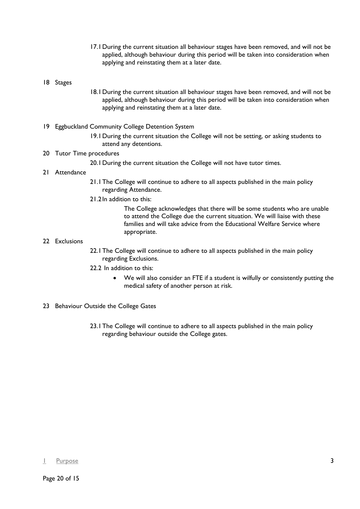17.1During the current situation all behaviour stages have been removed, and will not be applied, although behaviour during this period will be taken into consideration when applying and reinstating them at a later date.

#### 18 Stages

- 18.1During the current situation all behaviour stages have been removed, and will not be applied, although behaviour during this period will be taken into consideration when applying and reinstating them at a later date.
- 19 Eggbuckland Community College Detention System
	- 19.1During the current situation the College will not be setting, or asking students to attend any detentions.

#### 20 Tutor Time procedures

20.1During the current situation the College will not have tutor times.

#### 21 Attendance

- 21.1The College will continue to adhere to all aspects published in the main policy regarding Attendance.
- 21.2In addition to this:

The College acknowledges that there will be some students who are unable to attend the College due the current situation. We will liaise with these families and will take advice from the Educational Welfare Service where appropriate.

#### 22 Exclusions

- 22.1The College will continue to adhere to all aspects published in the main policy regarding Exclusions.
- 22.2 In addition to this:
	- We will also consider an FTE if a student is wilfully or consistently putting the medical safety of another person at risk.
- 23 Behaviour Outside the College Gates
	- 23.1The College will continue to adhere to all aspects published in the main policy regarding behaviour outside the College gates.

#### <u>I</u> [Purpose](#page-2-1) [3](#page-2-1)